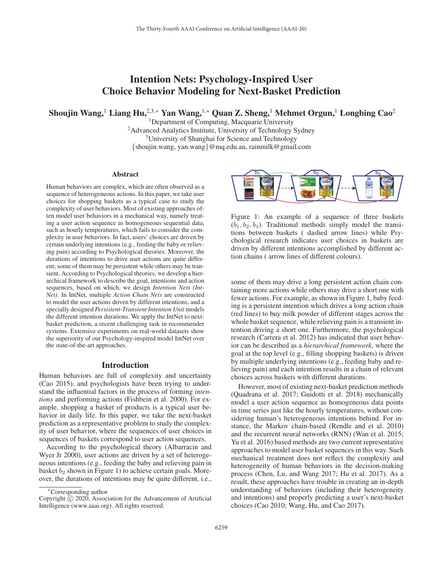# Intention Nets: Psychology-Inspired User Choice Behavior Modeling for Next-Basket Prediction

Shoujin Wang,<sup>1</sup> Liang Hu,<sup>2,3,∗</sup> Yan Wang,<sup>1,∗</sup> Quan Z. Sheng,<sup>1</sup> Mehmet Orgun,<sup>1</sup> Longbing Cao<sup>2</sup>

<sup>1</sup>Department of Computing, Macquarie University <sup>2</sup>Advanced Analytics Institute, University of Technology Sydney 3University of Shanghai for Science and Technology {shoujin.wang, yan.wang}@mq.edu.au, rainmilk@gmail.com

#### Abstract

Human behaviors are complex, which are often observed as a sequence of heterogeneous actions. In this paper, we take user choices for shopping baskets as a typical case to study the complexity of user behaviors. Most of existing approaches often model user behaviors in a mechanical way, namely treating a user action sequence as homogeneous sequential data, such as hourly temperatures, which fails to consider the complexity in user behaviors. In fact, users' choices are driven by certain underlying intentions (e.g., feeding the baby or relieving pain) according to Psychological theories. Moreover, the durations of intentions to drive user actions are quite different; some of them may be persistent while others may be transient. According to Psychological theories, we develop a hierarchical framework to describe the goal, intentions and action sequences, based on which, we design *Intention Nets (Int-Net)*. In IntNet, multiple *Action Chain Nets* are constructed to model the user actions driven by different intentions, and a specially designed *Persistent-Transient Intention Unit* models the different intention durations. We apply the IntNet to nextbasket prediction, a recent challenging task in recommender systems. Extensive experiments on real-world datasets show the superiority of our Psychology-inspired model IntNet over the state-of-the-art approaches.

## Introduction

Human behaviors are full of complexity and uncertainty (Cao 2015), and psychologists have been trying to understand the influential factors in the process of forming *intentions* and performing actions (Fishbein et al. 2000). For example, shopping a basket of products is a typical user behavior in daily life. In this paper, we take the next-basket prediction as a representative problem to study the complexity of user behavior, where the sequences of user choices in sequences of baskets correspond to user action sequences.

According to the psychological theory (Albarracin and Wyer Jr 2000), user actions are driven by a set of heterogeneous intentions (e.g., feeding the baby and relieving pain in basket  $b_2$  shown in Figure 1) to achieve certain goals. Moreover, the durations of intentions may be quite different, i.e.,



Figure 1: An example of a sequence of three baskets  $(b_1, b_2, b_3)$ . Traditional methods simply model the transitions between baskets ( dashed arrow lines) while Psychological research indicates user choices in baskets are driven by different intentions accomplished by different action chains ( arrow lines of different colours).

some of them may drive a long persistent action chain containing more actions while others may drive a short one with fewer actions. For example, as shown in Figure 1, baby feeding is a persistent intention which drives a long action chain (red lines) to buy milk powder of different stages across the whole basket sequence, while relieving pain is a transient intention driving a short one. Furthermore, the psychological research (Carrera et al. 2012) has indicated that user behavior can be described as a *hierarchical framework*, where the goal at the top level (e.g., filling shopping baskets) is driven by multiple underlying intentions (e.g., feeding baby and relieving pain) and each intention results in a chain of relevant choices across baskets with different durations.

However, most of existing next-basket prediction methods (Quadrana et al. 2017; Guidotti et al. 2018) mechanically model a user action sequence as homogeneous data points in time series just like the hourly temperatures, without considering human's heterogeneous intentions behind. For instance, the Markov chain-based (Rendle and et al. 2010) and the recurrent neural networks (RNN) (Wan et al. 2015; Yu et al. 2016) based methods are two current representative approaches to model user basket sequences in this way. Such mechanical treatment does not reflect the complexity and heterogeneity of human behaviors in the decision-making process (Chen, Lu, and Wang 2017; Hu et al. 2017). As a result, these approaches have trouble in creating an in-depth understanding of behaviors (including their heterogeneity and intentions) and properly predicting a user's next-basket choices (Cao 2010; Wang, Hu, and Cao 2017).

<sup>∗</sup>Corresponding author

Copyright  $\odot$  2020, Association for the Advancement of Artificial Intelligence (www.aaai.org). All rights reserved.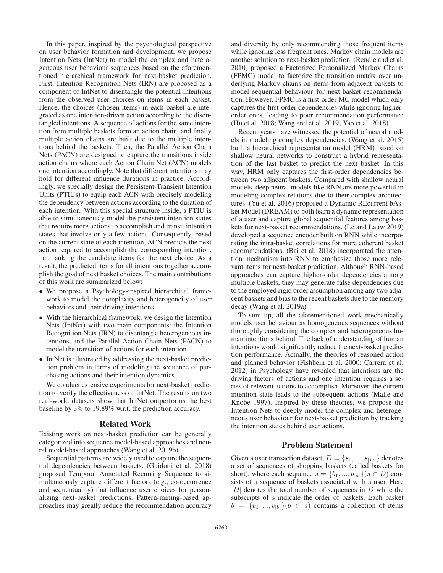In this paper, inspired by the psychological perspective on user behavior formation and development, we propose Intention Nets (IntNet) to model the complex and heterogeneous user behaviour sequences based on the aforementioned hierarchical framework for next-basket prediction. First, Intention Recognition Nets (IRN) are proposed as a component of IntNet to disentangle the potential intentions from the observed user choices on items in each basket. Hence, the choices (chosen items) in each basket are integrated as one intention-driven action according to the disentangled intentions. A sequence of actions for the same intention from multiple baskets form an action chain, and finally multiple action chains are built due to the multiple intentions behind the baskets. Then, the Parallel Action Chain Nets (PACN) are designed to capture the transitions inside action chains where each Action Chain Net (ACN) models one intention accordingly. Note that different intentions may hold for different influence durations in practice. Accordingly, we specially design the Persistent-Transient Intention Units (PTIUs) to equip each ACN with precisely modeling the dependency between actions according to the duration of each intention. With this special structure inside, a PTIU is able to simultaneously model the persistent intention states that require more actions to accomplish and transit intention states that involve only a few actions. Consequently, based on the current state of each intention, ACN predicts the next action required to accomplish the corresponding intention, i.e., ranking the candidate items for the next choice. As a result, the predicted items for all intentions together accomplish the goal of next basket choices. The main contributions of this work are summarized below:

- We propose a Psychology-inspired hierarchical framework to model the complexity and heterogeneity of user behaviors and their driving intentions.
- With the hierarchical framework, we design the Intention Nets (IntNet) with two main components: the Intention Recognition Nets (IRN) to disentangle heterogeneous intentions, and the Parallel Action Chain Nets (PACN) to model the transition of actions for each intention.
- IntNet is illustrated by addressing the next-basket prediction problem in terms of modeling the sequence of purchasing actions and their intention dynamics.

We conduct extensive experiments for next-basket prediction to verify the effectiveness of IntNet. The results on two real-world datasets show that IntNet outperforms the best baseline by 3% to 19.89% w.r.t. the prediction accuracy.

## Related Work

Existing work on next-basket prediction can be generally categorized into sequence model-based approaches and neural model-based approaches (Wang et al. 2019b).

Sequential patterns are widely used to capture the sequential dependencies between baskets. (Guidotti et al. 2018) proposed Temporal Annotated Recurring Sequence to simultaneously capture different factors (e.g., co-occurrence and sequentuality) that influence user choices for personalizing next-basket predictions. Pattern-mining-based approaches may greatly reduce the recommendation accuracy

and diversity by only recommending those frequent items while ignoring less frequent ones. Markov chain models are another solution to next-basket prediction. (Rendle and et al. 2010) proposed a Factorized Personalized Markov Chains (FPMC) model to factorize the transition matrix over underlying Markov chains on items from adjacent baskets to model sequential behaviour for next-basket recommendation. However, FPMC is a first-order MC model which only captures the first-order dependencies while ignoring higherorder ones, leading to poor recommendation performance (Hu et al. 2018; Wang and et al. 2019; Yao et al. 2018).

Recent years have witnessed the potential of neural models in modeling complex dependencies. (Wang et al. 2015) built a hierarchical representation model (HRM) based on shallow neural networks to construct a hybrid representation of the last basket to predict the next basket. In this way, HRM only captures the first-order dependencies between two adjacent baskets. Compared with shallow neural models, deep neural models like RNN are more powerful in modeling complex relations due to their complex architectures. (Yu et al. 2016) proposed a Dynamic REcurrent bAsket Model (DREAM) to both learn a dynamic representation of a user and capture global sequential features among baskets for next-basket recommendations. (Le and Lauw 2019) developed a sequence encoder built on RNN while incorporating the intra-basket correlations for more coherent basket recommendations. (Bai et al. 2018) incorporated the attention mechanism into RNN to emphasize those more relevant items for next-basket prediction. Although RNN-based approaches can capture higher-order dependencies among multiple baskets, they may generate false dependencies due to the employed rigid order assumption among any two adjacent baskets and bias to the recent baskets due to the memory decay (Wang et al. 2019a) .

To sum up, all the aforementioned work mechanically models user behaviour as homogeneous sequences without thoroughly considering the complex and heterogeneous human intentions behind. The lack of understanding of human intentions would significantly reduce the next-basket prediction performance. Actually, the theories of reasoned action and planned behavior (Fishbein et al. 2000; Carrera et al. 2012) in Psychology have revealed that intentions are the driving factors of actions and one intention requires a series of relevant actions to accomplish. Moreover, the current intention state leads to the subsequent actions (Malle and Knobe 1997). Inspired by these theories, we propose the Intention Nets to deeply model the complex and heterogeneous user behaviour for next-basket prediction by tracking the intention states behind user actions.

# Problem Statement

Given a user transaction dataset,  $D = \{s_1, ..., s_{|D|}\}\)$  denotes a set of sequences of shopping baskets (called baskets for short), where each sequence  $s = \{b_1, ..., b_{|s|}\}(s \in D)$  consists of a sequence of baskets associated with a user. Here  $|D|$  denotes the total number of sequences in D while the subscripts of s indicate the order of baskets. Each basket  $b = \{v_1, ..., v_{|b|}\}(b \in s)$  contains a collection of items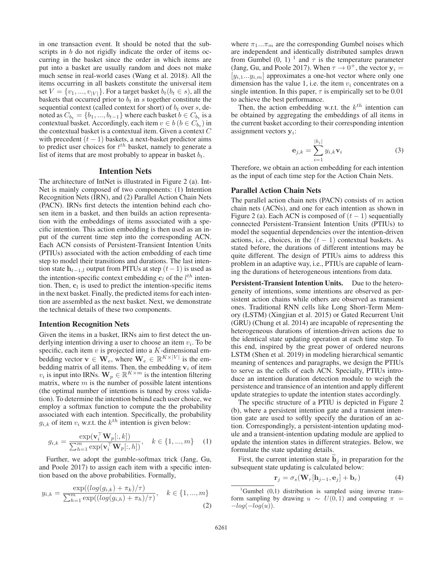in one transaction event. It should be noted that the subscripts in *b* do not rigidly indicate the order of items occurring in the basket since the order in which items are put into a basket are usually random and does not make much sense in real-world cases (Wang et al. 2018). All the items occurring in all baskets constitute the universal item set  $V = \{v_1, ..., v_{|V|}\}\.$  For a target basket  $b_t(b_t \in s)$ , all the baskets that occurred prior to  $b_t$  in s together constitute the sequential context (called context for short) of  $b_t$  over  $s$ , denoted as  $C_{b_t} = \{b_1, ..., b_{t-1}\}\$  where each basket  $b \in C_{b_t}$  is a contextual basket. Accordingly, each item  $v \in b$  ( $b \in C_{b_t}$ ) in the contextual basket is a contextual item. Given a context  $C$ with precedent  $(t - 1)$  baskets, a next-basket predictor aims to predict user choices for  $t^{th}$  basket, namely to generate a<br>list of items that are most probably to appear in basket  $h_t$ list of items that are most probably to appear in basket  $b_t$ .

# Intention Nets

The architecture of IntNet is illustrated in Figure 2 (a). Int-Net is mainly composed of two components: (1) Intention Recognition Nets (IRN), and (2) Parallel Action Chain Nets (PACN). IRNs first detects the intention behind each chosen item in a basket, and then builds an action representation with the embeddings of items associated with a specific intention. This action embedding is then used as an input of the current time step into the corresponding ACN. Each ACN consists of Persistent-Transient Intention Units (PTIUs) associated with the action embedding of each time step to model their transitions and durations. The last intention state  $h_{t-1,l}$  output from PITUs at step  $(t-1)$  is used as the intention-specific context embedding  $\mathbf{c}_l$  of the  $l^{th}$  intention. Then  $\mathbf{c}_l$  is used to predict the intention-specific items tion. Then,  $c_l$  is used to predict the intention-specific items in the next basket. Finally, the predicted items for each intention are assembled as the next basket. Next, we demonstrate the technical details of these two components.

#### Intention Recognition Nets

Given the items in a basket, IRNs aim to first detect the underlying intention driving a user to choose an item  $v_i$ . To be specific, each item v is projected into a K-dimensional emspecific, each item v is projected into a K-dimensional embedding vector **v**  $\in$  **W**<sub>e</sub>, where **W**<sub>e</sub>  $\in$  R<sup>K ×|V|</sup> is the embedding matrix of all items. Then, the embedding  $v_i$  of item  $v_i$  is input into IRNs.  $\mathbf{W}_p \in \mathbb{R}^{K \times m}$  is the intention filtering matrix, where  $m$  is the number of possible latent intentions (the optimal number of intentions is tuned by cross validation). To determine the intention behind each user choice, we employ a softmax function to compute the the probability associated with each intention. Specifically, the probability  $g_{i,k}$  of item  $v_i$  w.r.t. the  $k^{th}$  intention is given below:

$$
g_{i,k} = \frac{\exp(\mathbf{v}_i^\top \mathbf{W}_p[:, k])}{\sum_{h=1}^m \exp(\mathbf{v}_i^\top \mathbf{W}_p[:, h])}, \quad k \in \{1, ..., m\} \quad (1)
$$

Further, we adopt the gumble-softmax trick (Jang, Gu, and Poole 2017) to assign each item with a specific intention based on the above probabilities. Formally,

$$
y_{i,k} = \frac{\exp((\log(g_{i,k}) + \pi_k)/\tau)}{\sum_{h=1}^{m} \exp((\log(g_{i,h}) + \pi_h)/\tau)}, \quad k \in \{1, ..., m\}
$$
\n(2)

where  $\pi_1...\pi_m$  are the corresponding Gumbel noises which are independent and identically distributed samples drawn from Gumbel  $(0, 1)$ <sup>1</sup> and  $\tau$  is the temperature parameter (Jang, Gu, and Poole 2017). When  $\tau \to 0^+$ , the vector  $y_i =$  $[y_{i,1}...y_{i,m}]$  approximates a one-hot vector where only one dimension has the value 1, i.e. the item  $v_i$  concentrates on a single intention. In this paper,  $\tau$  is empirically set to be 0.01 to achieve the best performance.

Then, the action embedding w.r.t. the  $k^{th}$  intention can be obtained by aggregating the embeddings of all items in the current basket according to their corresponding intention assignment vectors **y**i:

$$
\mathbf{e}_{j,k} = \sum_{i=1}^{|b_j|} y_{i,k} \mathbf{v}_i
$$
 (3)

Therefore, we obtain an action embedding for each intention as the input of each time step for the Action Chain Nets.

# Parallel Action Chain Nets

The parallel action chain nets (PACN) consists of  $m$  action chain nets (ACNs), and one for each intention as shown in Figure 2 (a). Each ACN is composed of  $(t - 1)$  sequentially connected Persistent-Transient Intention Units (PTIUs) to model the sequential dependencies over the intention-driven actions, i.e., choices, in the  $(t - 1)$  contextual baskets. As stated before, the durations of different intentions may be quite different. The design of PTIUs aims to address this problem in an adaptive way, i.e., PTIUs are capable of learning the durations of heterogeneous intentions from data.

Persistent-Transient Intention Units. Due to the heterogeneity of intentions, some intentions are observed as persistent action chains while others are observed as transient ones. Traditional RNN cells like Long Short-Term Memory (LSTM) (Xingjian et al. 2015) or Gated Recurrent Unit (GRU) (Chung et al. 2014) are incapable of representing the heterogeneous durations of intention-driven actions due to the identical state updating operation at each time step. To this end, inspired by the great power of ordered neurons LSTM (Shen et al. 2019) in modeling hierarchical semantic meaning of sentences and paragraphs, we design the PTIUs to serve as the cells of each ACN. Specially, PTIUs introduce an intention duration detection module to weigh the persistence and transience of an intention and apply different update strategies to update the intention states accordingly.

The specific structure of a PTIU is depicted in Figure 2 (b), where a persistent intention gate and a transient intention gate are used to softly specify the duration of an action. Correspondingly, a persistent-intention updating module and a transient-intention updating module are applied to update the intention states in different strategies. Below, we formulate the state updating details.

First, the current intention state  $\mathbf{h}_i$  in preparation for the subsequent state updating is calculated below:

$$
\mathbf{r}_{j} = \sigma_{s}(\mathbf{W}_{r}[\mathbf{h}_{j-1}, \mathbf{e}_{j}] + \mathbf{b}_{r})
$$
(4)

<sup>1</sup>Gumbel (0,1) distribution is sampled using inverse transform sampling by drawing  $u \sim U(0, 1)$  and computing  $\pi =$  $-log(-log(u)).$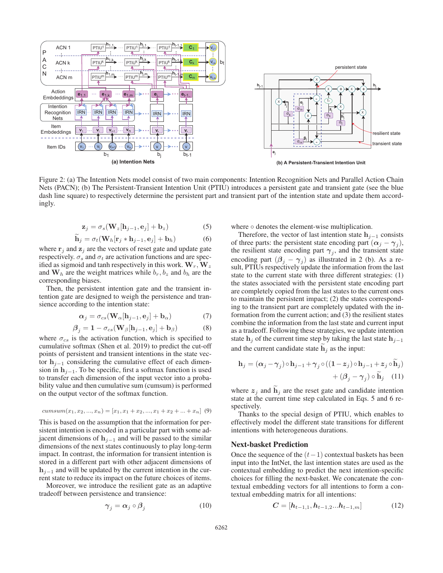

Figure 2: (a) The Intention Nets model consist of two main components: Intention Recognition Nets and Parallel Action Chain Nets (PACN); (b) The Persistent-Transient Intention Unit (PTIU) introduces a persistent gate and transient gate (see the blue dash line square) to respectively determine the persistent part and transient part of the intention state and update them accordingly.

$$
\mathbf{z}_{j} = \sigma_{s}(\mathbf{W}_{z}[\mathbf{h}_{j-1}, \mathbf{e}_{j}] + \mathbf{b}_{z})
$$
 (5)

$$
\mathbf{h}_{j} = \sigma_{t}(\mathbf{W}_{h}[\mathbf{r}_{j} * \mathbf{h}_{j-1}, \mathbf{e}_{j}] + \mathbf{b}_{h})
$$
(6)

 $h_j = \sigma_t(\mathbf{W}_h[\mathbf{r}_j * \mathbf{h}_{j-1}, \mathbf{e}_j] + \mathbf{b}_h)$  (6)<br>where  $\mathbf{r}_j$  and  $\mathbf{z}_j$  are the vectors of reset gate and update gate respectively.  $\sigma_s$  and  $\sigma_t$  are activation functions and are specified as sigmoid and tanh respectively in this work.  $W_r$ ,  $W_z$ and  $W_h$  are the weight matrices while  $b_r, b_z$  and  $b_h$  are the corresponding biases.

Then, the persistent intention gate and the transient intention gate are designed to weigh the persistence and transience according to the intention state:

$$
\alpha_j = \sigma_{cs}(\mathbf{W}_{\alpha}[\mathbf{h}_{j-1}, \mathbf{e}_j] + \mathbf{b}_{\alpha})
$$
(7)

$$
\beta_j = 1 - \sigma_{cs}(\mathbf{W}_{\beta}[\mathbf{h}_{j-1}, \mathbf{e}_j] + \mathbf{b}_{\beta})
$$
(8)

where  $\sigma_{cs}$  is the activation function, which is specified to cumulative softmax (Shen et al. 2019) to predict the cut-off cumulative softmax (Shen et al. 2019) to predict the cut-off points of persistent and transient intentions in the state vector **h**<sup>j</sup>−<sup>1</sup> considering the cumulative effect of each dimension in  $h_{i-1}$ . To be specific, first a softmax function is used to transfer each dimension of the input vector into a probability value and then cumulative sum (cumsum) is performed on the output vector of the softmax function.

$$
cumsum(x_1, x_2, ..., x_n) = [x_1, x_1 + x_2, ..., x_1 + x_2 + ... + x_n]
$$
(9)

This is based on the assumption that the information for persistent intention is encoded in a particular part with some adjacent dimensions of  $\mathbf{h}_{i-1}$  and will be passed to the similar dimensions of the next states continuously to play long-term impact. In contrast, the information for transient intention is stored in a different part with other adjacent dimensions of **h**<sub>j−1</sub> and will be updated by the current intention in the current state to reduce its impact on the future choices of items.

Moreover, we introduce the resilient gate as an adaptive tradeoff between persistence and transience:

$$
\gamma_j = \alpha_j \circ \beta_j \tag{10}
$$

where  $\circ$  denotes the element-wise multiplication.

Therefore, the vector of last intention state  $h_{j-1}$  consists of three parts: the persistent state encoding part  $(\alpha_i - \gamma_i)$ , the resilient state encoding part  $\gamma_i$ , and the transient state encoding part  $(\beta_j - \gamma_j)$  as illustrated in 2 (b). As a result, PTIUs respectively update the information from the last state to the current state with three different strategies: (1) the states associated with the persistent state encoding part are completely copied from the last states to the current ones to maintain the persistent impact; (2) the states corresponding to the transient part are completely updated with the information from the current action; and (3) the resilient states combine the information from the last state and current input as a tradeoff. Following these strategies, we update intention state **h**<sub>j</sub> of the current time step by taking the last state  $h_{i-1}$ and the current candidate state  $\mathbf{h}_i$  as the input:

$$
\mathbf{h}_{j} = (\alpha_{j} - \gamma_{j}) \circ \mathbf{h}_{j-1} + \gamma_{j} \circ ((1 - z_{j}) \circ \mathbf{h}_{j-1} + z_{j} \circ \tilde{\mathbf{h}}_{j}) + (\beta_{j} - \gamma_{j}) \circ \tilde{\mathbf{h}}_{j} \quad (11)
$$

where  $z_j$  and  $h_j$  are the reset gate and candidate intention state at the current time step calculated in Eqs. 5 and 6 respectively.

Thanks to the special design of PTIU, which enables to effectively model the different state transitions for different intentions with heterogeneous durations.

#### Next-basket Prediction

Once the sequence of the  $(t-1)$  contextual baskets has been input into the IntNet, the last intention states are used as the contextual embedding to predict the next intention-specific choices for filling the next-basket. We concatenate the contextual embedding vectors for all intentions to form a contextual embedding matrix for all intentions:

$$
C = [h_{t-1,1}, h_{t-1,2}...h_{t-1,m}] \tag{12}
$$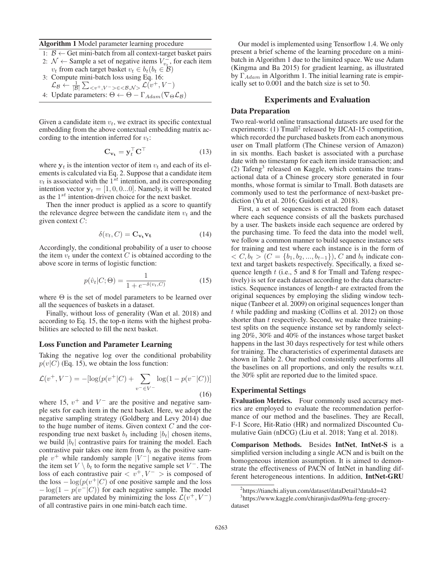#### Algorithm 1 Model parameter learning procedure

- 1:  $B$  ← Get mini-batch from all context-target basket pairs
- 2:  $\mathcal{N} \leftarrow$  Sample a set of negative items  $V_{v_i}^{\top}$ , for each item  $v_k$  from each target basket  $v_k \in h_k(h_k \in \mathcal{B})$  $v_t$  from each target basket  $v_t \in b_t(b_t \in \mathcal{B})$ 3: Compute mini-batch loss using Eq. 16:
- $\mathcal{L}_{\mathcal{B}} \leftarrow \frac{1}{|\mathcal{B}|} \sum_{\leq v^+, V^- \geq \leq \leq \mathcal{B}, N \geq} \mathcal{L}(v^+, V^-)$
- 4: Update parameters:  $\Theta \leftarrow \Theta \Gamma_{Adam}(\nabla_{\Theta} \mathcal{L}_{\mathcal{B}})$

Given a candidate item  $v_t$ , we extract its specific contextual embedding from the above contextual embedding matrix according to the intention inferred for  $v_t$ :

$$
\mathbf{C}_{\mathbf{v_t}} = \mathbf{y}_t^\top \mathbf{C}^\top \tag{13}
$$

where  $y_t$  is the intention vector of item  $v_t$  and each of its elements is calculated via Eq. 2. Suppose that a candidate item  $v_t$  is associated with the 1<sup>st</sup> intention, and its corresponding intention vector  $y_t = [1, 0, 0...0]$ . Namely, it will be treated as the  $1^{st}$  intention-driven choice for the next basket.

Then the inner product is applied as a score to quantify the relevance degree between the candidate item  $v_t$  and the given context  $C$ :

$$
\delta(v_t, C) = \mathbf{C}_{\mathbf{v_t}} \mathbf{v_t}
$$
 (14)

Accordingly, the conditional probability of a user to choose the item  $v_t$  under the context C is obtained according to the above score in terms of logistic function:

$$
p(\hat{v}_t|C;\Theta) = \frac{1}{1 + e^{-\delta(v_t,C)}}\tag{15}
$$

where  $\Theta$  is the set of model parameters to be learned over all the sequences of baskets in a dataset.

Finally, without loss of generality (Wan et al. 2018) and according to Eq. 15, the top-n items with the highest probabilities are selected to fill the next basket.

## Loss Function and Parameter Learning

Taking the negative log over the conditional probability  $p(v|C)$  (Eq. 15), we obtain the loss function:

$$
\mathcal{L}(v^+, V^-) = -[\log(p(v^+|C) + \sum_{v^- \in V^-} \log(1 - p(v^-|C))]
$$
\n(16)

where 15,  $v^{+}$  and  $V^{-}$  are the positive and negative sample sets for each item in the next basket. Here, we adopt the negative sampling strategy (Goldberg and Levy 2014) due to the huge number of items. Given context  $C$  and the corresponding true next basket  $b_t$  including  $|b_t|$  chosen items, we build  $|b_t|$  contrastive pairs for training the model. Each contrastive pair takes one item from  $b_t$  as the positive sample  $v^+$  while randomly sample  $|V^-|$  negative items from the item set  $V \setminus b_t$  to form the negative sample set  $V^-$ . The loss of each contrastive pair  $\langle v^+, V^- \rangle$  is composed of the loss  $-\log(p(v^+|C))$  of one positive sample and the loss  $-\log(1-p(v^-|C))$  for each negative sample. The model parameters are updated by minimizing the loss  $\mathcal{L}(v^+, V^-)$ of all contrastive pairs in one mini-batch each time.

Our model is implemented using Tensorflow 1.4. We only present a brief scheme of the learning procedure on a minibatch in Algorithm 1 due to the limited space. We use Adam (Kingma and Ba 2015) for gradient learning, as illustrated by  $\Gamma_{Adam}$  in Algorithm 1. The initial learning rate is empirically set to 0.001 and the batch size is set to 50.

# Experiments and Evaluation

# Data Preparation

Two real-world online transactional datasets are used for the experiments:  $(1)$  Tmall<sup>2</sup> released by IJCAI-15 competition, which recorded the purchased baskets from each anonymous user on Tmall platform (The Chinese version of Amazon) in six months. Each basket is associated with a purchase date with no timestamp for each item inside transaction; and  $(2)$  Tafeng<sup>3</sup> released on Kaggle, which contains the transactional data of a Chinese grocery store generated in four months, whose format is similar to Tmall. Both datasets are commonly used to test the performance of next-basket prediction (Yu et al. 2016; Guidotti et al. 2018).

First, a set of sequences is extracted from each dataset where each sequence consists of all the baskets purchased by a user. The baskets inside each sequence are ordered by the purchasing time. To feed the data into the model well, we follow a common manner to build sequence instance sets for training and test where each instance is in the form of  $\langle C, b_t \rangle (C = \{b_1, b_2, ..., b_{t-1}\}), C$  and  $b_t$  indicate context and target baskets respectively. Specifically, a fixed sequence length t (i.e., 5 and 8 for Tmall and Tafeng respectively) is set for each dataset according to the data characteristics. Sequence instances of length-t are extracted from the original sequences by employing the sliding window technique (Tanbeer et al. 2009) on original sequences longer than t while padding and masking (Collins et al. 2012) on those shorter than t respectively. Second, we make three trainingtest splits on the sequence instance set by randomly selecting 20%, 30% and 40% of the instances whose target basket happens in the last 30 days respectively for test while others for training. The characteristics of experimental datasets are shown in Table 2. Our method consistently outperforms all the baselines on all proportions, and only the results w.r.t. the 30% split are reported due to the limited space.

## Experimental Settings

Evaluation Metrics. Four commonly used accuracy metrics are employed to evaluate the recommendation performance of our method and the baselines. They are Recall, F-1 Score, Hit-Ratio (HR) and normalized Discounted Cumulative Gain (nDCG) (Liu et al. 2018; Yang et al. 2018).

Comparison Methods. Besides IntNet, IntNet-S is a simplified version including a single ACN and is built on the homogeneous intention assumption. It is aimed to demonstrate the effectiveness of PACN of IntNet in handling different heterogeneous intentions. In addition, IntNet-GRU

<sup>2</sup> https://tianchi.aliyun.com/dataset/dataDetail?dataId=42

<sup>3</sup> https://www.kaggle.com/chiranjivdas09/ta-feng-grocerydataset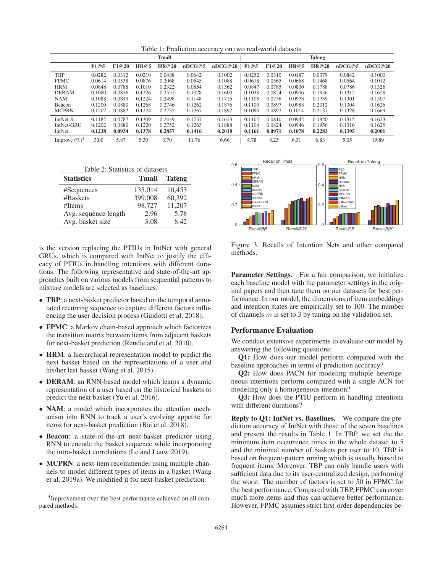Table 1: Prediction accuracy on two real-world datasets

|                  | Tmall  |        |        |        |        |         | <b>Tafeng</b> |        |        |        |        |         |
|------------------|--------|--------|--------|--------|--------|---------|---------------|--------|--------|--------|--------|---------|
|                  | F1@5   | F1@20  | HR@5   | HR@20  | nDCG@5 | nDCG@20 | F1@5          | F1@20  | HR@5   | HR@20  | nDCG@5 | nDCG@20 |
| TBP              | 0.0282 | 0.0312 | 0.0210 | 0.0488 | 0.0642 | 0.1002  | 0.0252        | 0.0310 | 0.0187 | 0.0379 | 0.0842 | 0.1000  |
| <b>FPMC</b>      | 0.0614 | 0.0538 | 0.0876 | 0.2068 | 0.0645 | 0.1088  | 0.0618        | 0.0565 | 0.0668 | 0.1468 | 0.0564 | 0.1012  |
| <b>HRM</b>       | 0.0848 | 0.0788 | 0.1010 | 0.2322 | 0.0854 | 0.1362  | 0.0847        | 0.0785 | 0.0800 | 0.1788 | 0.0786 | 0.1326  |
| <b>DERAM</b>     | 0.1080 | 0.0816 | 0.1226 | 0.2551 | 0.1028 | 0.1600  | 0.1038        | 0.0824 | 0.0906 | 0.1956 | 0.1312 | 0.1628  |
| <b>NAM</b>       | 0.1088 | 0.0819 | 0.1224 | 0.2498 | 0.1148 | 0.1715  | 0.1108        | 0.0736 | 0.0978 | 0.1739 | 0.1301 | 0.1507  |
| Beacon           | 0.1200 | 0.0880 | 0.1268 | 0.2746 | 0.1262 | 0.1876  | 0.1100        | 0.0897 | 0.0988 | 0.2012 | 0.1304 | 0.1626  |
| <b>MCPRN</b>     | 0.1202 | 0.0882 | 0.1224 | 0.2755 | 0.1267 | 0.1892  | 0.1090        | 0.0897 | 0.1014 | 0.2137 | 0.1328 | 0.1669  |
| IntNet-S         | 0.1182 | 0.0787 | 0.1309 | 0.2449 | 0.1237 | 0.1613  | 0.1102        | 0.0810 | 0.0942 | 0.1920 | 0.1315 | 0.1623  |
| IntNet-GRU       | 0.1202 | 0.0880 | 0.1220 | 0.2752 | 0.1263 | 0.1888  | 0.1104        | 0.0824 | 0.0946 | 0.1956 | 0.1316 | 0.1625  |
| IntNet           | 0.1238 | 0.0934 | 0.1378 | 0.2857 | 0.1416 | 0.2018  | 0.1161        | 0.0971 | 0.1078 | 0.2283 | 0.1395 | 0.2001  |
| Improve $(\%)^4$ | 3.00   | 5.87   | 5.30   | 3.70   | 11.76  | 6.66    | 4.78          | 8.25   | 6.31   | 6.83   | 5.05   | 19.89   |

| Table 2: Statistics of datasets |         |                     |  |  |  |  |  |  |
|---------------------------------|---------|---------------------|--|--|--|--|--|--|
| <b>Statistics</b>               |         | <b>Tmall Tafeng</b> |  |  |  |  |  |  |
| #Sequences                      | 135,014 | 10,453              |  |  |  |  |  |  |
| #Baskets                        | 399,008 | 60,392              |  |  |  |  |  |  |
| #Items                          | 98,727  | 11,207              |  |  |  |  |  |  |
| Avg. sequence length            | 2.96    | 5.78                |  |  |  |  |  |  |
| Avg. basket size                | 3.08    | 8.42                |  |  |  |  |  |  |

is the version replacing the PTIUs in IntNet with general GRUs, which is compared with IntNet to justify the efficacy of PTIUs in handling intentions with different durations. The following representative and state-of-the-art approaches built on various models from sequential patterns to mixture models are selected as baselines.

- **TBP**: a next-basket predictor based on the temporal annotated recurring sequence to capture different factors influencing the user decision process (Guidotti et al. 2018).
- FPMC: a Markov chain-based approach which factorizes the transition matrix between items from adjacent baskets for next-basket prediction (Rendle and et al. 2010).
- HRM: a hierarchical representation model to predict the next basket based on the representations of a user and his/her last basket (Wang et al. 2015).
- **DERAM**: an RNN-based model which learns a dynamic representation of a user based on the historical baskets to predict the next basket (Yu et al. 2016).
- NAM: a model which incorporates the attention mechanism into RNN to track a user's evolving appetite for items for next-basket prediction (Bai et al. 2018).
- Beacon: a state-of-the-art next-basket predictor using RNN to encode the basket sequence while incorporating the intra-basket correlations (Le and Lauw 2019).
- MCPRN: a next-item recommender using multiple channels to model different types of items in a basket (Wang et al. 2019a). We modified it for next-basket prediction.



Figure 3: Recalls of Intention Nets and other compared methods.

Parameter Settings. For a fair comparison, we initialize each baseline model with the parameter settings in the original papers and then tune them on our datasets for best performance. In our model, the dimensions of item embeddings and intention states are empirically set to 100. The number of channels  $m$  is set to 3 by tuning on the validation set.

## Performance Evaluation

We conduct extensive experiments to evaluate our model by answering the following questions:

Q1: How does our model perform compared with the baseline approaches in terms of prediction accuracy?

Q2: How does PACN for modeling multiple heterogeneous intentions perform compared with a single ACN for modeling only a homogeneous intention?

Q3: How does the PTIU perform in handling intentions with different durations?

Reply to Q1: IntNet vs. Baselines. We compare the prediction accuracy of IntNet with those of the seven baselines and present the results in Table 1. In TBP, we set the the minimum item occurrence times in the whole dataset to 5 and the minimal number of baskets per user to 10. TBP is based on frequent-pattern mining which is usually biased to frequent items. Moreover, TBP can only handle users with sufficient data due to its user-centralized design, performing the worst. The number of factors is set to 50 in FPMC for the best performance. Compared with TBP, FPMC can cover much more items and thus can achieve better performance. However, FPMC assumes strict first-order dependencies be-

<sup>4</sup> Improvement over the best performance achieved on all compared methods.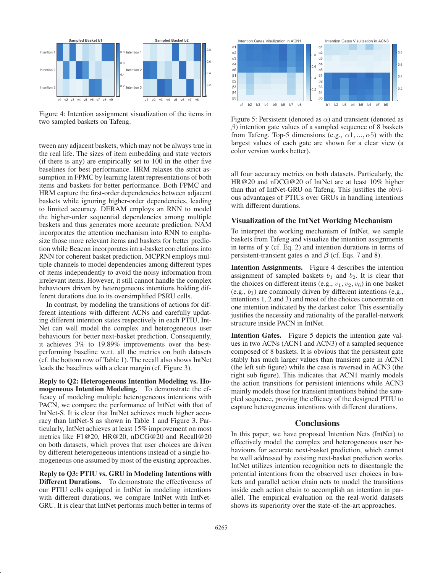

Figure 4: Intention assignment visualization of the items in two sampled baskets on Tafeng.

tween any adjacent baskets, which may not be always true in the real life. The sizes of item embedding and state vectors (if there is any) are empirically set to 100 in the other five baselines for best performance. HRM relaxes the strict assumption in FPMC by learning latent representations of both items and baskets for better performance. Both FPMC and HRM capture the first-order dependencies between adjacent baskets while ignoring higher-order dependencies, leading to limited accuracy. DERAM employs an RNN to model the higher-order sequential dependencies among multiple baskets and thus generates more accurate prediction. NAM incorporates the attention mechanism into RNN to emphasize those more relevant items and baskets for better prediction while Beacon incorporates intra-basket correlations into RNN for coherent basket prediction. MCPRN employs multiple channels to model dependencies among different types of items independently to avoid the noisy information from irrelevant items. However, it still cannot handle the complex behaviours driven by heterogeneous intentions holding different durations due to its oversimplified PSRU cells.

In contrast, by modeling the transitions of actions for different intentions with different ACNs and carefully updating different intention states respectively in each PTIU, Int-Net can well model the complex and heterogeneous user behaviours for better next-basket prediction. Consequently, it achieves 3% to 19.89% improvements over the bestperforming baseline w.r.t. all the metrics on both datasets (cf. the bottom row of Table 1). The recall also shows IntNet leads the baselines with a clear margin (cf. Figure 3).

Reply to Q2: Heterogeneous Intention Modeling vs. Homogeneous Intention Modeling. To demonstrate the efficacy of modeling multiple heterogeneous intentions with PACN, we compare the performance of IntNet with that of IntNet-S. It is clear that IntNet achieves much higher accuracy than IntNet-S as shown in Table 1 and Figure 3. Particularly, IntNet achieves at least 15% improvement on most metrics like F1@20, HR@20, nDCG@20 and Recall@20 on both datasets, which proves that user choices are driven by different heterogeneous intentions instead of a single homogeneous one assumed by most of the existing approaches.

Reply to Q3: PTIU vs. GRU in Modeling Intentions with Different Durations. To demonstrate the effectiveness of our PTIU cells equipped in IntNet in modeling intentions with different durations, we compare IntNet with IntNet-GRU. It is clear that IntNet performs much better in terms of



Figure 5: Persistent (denoted as  $\alpha$ ) and transient (denoted as  $\beta$ ) intention gate values of a sampled sequence of 8 baskets from Tafeng. Top-5 dimensions (e.g.,  $\alpha_1, \ldots, \alpha_5$ ) with the largest values of each gate are shown for a clear view (a color version works better).

all four accuracy metrics on both datasets. Particularly, the HR@20 and nDCG@20 of IntNet are at least 10% higher than that of IntNet-GRU on Tafeng. This justifies the obvious advantages of PTIUs over GRUs in handling intentions with different durations.

#### Visualization of the IntNet Working Mechanism

To interpret the working mechanism of IntNet, we sample baskets from Tafeng and visualize the intention assignments in terms of **y** (cf. Eq. 2) and intention durations in terms of persistent-transient gates  $\alpha$  and  $\beta$  (cf. Eqs. 7 and 8).

Intention Assignments. Figure 4 describes the intention assignment of sampled baskets  $b_1$  and  $b_2$ . It is clear that the choices on different items (e.g.,  $v_1, v_2, v_6$ ) in one basket (e.g.,  $b_1$ ) are commonly driven by different intentions (e.g., intentions 1, 2 and 3) and most of the choices concentrate on one intention indicated by the darkest color. This essentially justifies the necessity and rationality of the parallel-network structure inside PACN in IntNet.

Intention Gates. Figure 5 depicts the intention gate values in two ACNs (ACN1 and ACN3) of a sampled sequence composed of 8 baskets. It is obvious that the persistent gate stably has much larger values than transient gate in ACN1 (the left sub figure) while the case is reversed in ACN3 (the right sub figure). This indicates that ACN1 mainly models the action transitions for persistent intentions while ACN3 mainly models those for transient intentions behind the sampled sequence, proving the efficacy of the designed PTIU to capture heterogeneous intentions with different durations.

## **Conclusions**

In this paper, we have proposed Intention Nets (IntNet) to effectively model the complex and heterogeneous user behaviours for accurate next-basket prediction, which cannot be well addressed by existing next-basket prediction works. IntNet utilizes intention recognition nets to disentangle the potential intentions from the observed user choices in baskets and parallel action chain nets to model the transitions inside each action chain to accomplish an intention in parallel. The empirical evaluation on the real-world datasets shows its superiority over the state-of-the-art approaches.